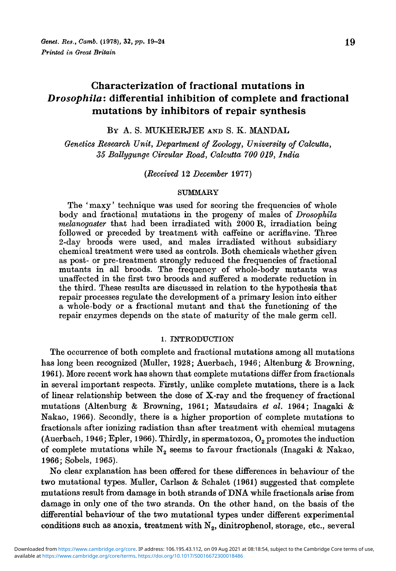# Characterization of fractional mutations in *Drosophila:* differential inhibition of complete and fractional mutations by inhibitors of repair synthesis

BY A. S. MUKHERJEE AND S. K. MANDAL

*Genetics Research Unit, Department of Zoology, University of Calcutta, 35 Ballygunge Circular Road, Calcutta 700 019, India*

*(Received* 12 *December* 1977)

## SUMMARY

The 'maxy' technique was used for scoring the frequencies of whole body and fractional mutations in the progeny of males of *Drosophila melanogaster* that had been irradiated with 2000 R, irradiation being followed or preceded by treatment with caffeine or acriflavine. Three 2-day broods were used, and males irradiated without subsidiary chemical treatment were used as controls. Both chemicals whether given as post- or pre-treatment strongly reduced the frequencies of fractional mutants in all broods. The frequency of whole-body mutants was unaffected in the first two broods and suffered a moderate reduction in the third. These results are discussed in relation to the hypothesis that repair processes regulate the development of a primary lesion into either a whole-body or a fractional mutant and that the functioning of the repair enzymes depends on the state of maturity of the male germ cell.

## 1. INTRODUCTION

The occurrence of both complete and fractional mutations among all mutations has long been recognized (Muller, 1928; Auerbach, 1946; Altenburg & Browning, 1961). More recent work has shown that complete mutations differ from fractionals in several important respects. Firstly, unlike complete mutations, there is a lack of linear relationship between the dose of X-ray and the frequency of fractional mutations (Altenburg & Browning, 1961; Matsudaira *et al.* 1964; Inagaki & Nakao, 1966). Secondly, there is a higher proportion of complete mutations to fractionals after ionizing radiation than after treatment with chemical mutagens (Auerbach, 1946; Epler, 1966). Thirdly, in spermatozoa,  $O<sub>2</sub>$  promotes the induction of complete mutations while  $N_2$  seems to favour fractionals (Inagaki & Nakao, 1966; Sobels, 1965).

No clear explanation has been offered for these differences in behaviour of the two mutational types. Muller, Carlson & Schalet (1961) suggested that complete mutations result from damage in both strands of DNA while fractionals arise from damage in only one of the two strands. On the other hand, on the basis of the differential behaviour of the two mutational types under different experimental conditions such as anoxia, treatment with  $N_2$ , dinitrophenol, storage, etc., several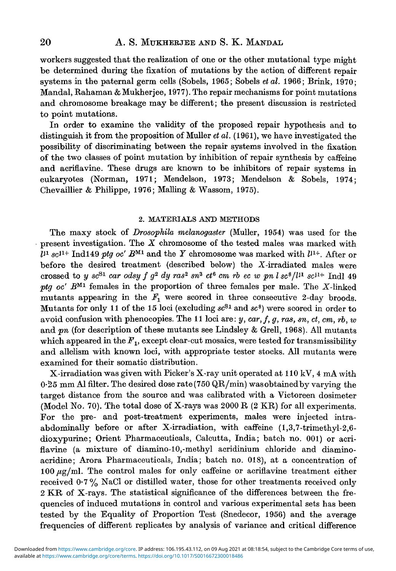workers suggested that the realization of one or the other mutational type might be determined during the fixation of mutations by the action of different repair systems in the paternal germ cells (Sobels, 1965; Sobels *etal.* 1966; Brink, 1970; Mandal, Rahaman & Mukherjee, 1977). The repair mechanisms for point mutations and chromosome breakage may be different; the present discussion is restricted to point mutations.

In order to examine the validity of the proposed repair hypothesis and to distinguish it from the proposition of Muller *etal.* (1961), we have investigated the possibility of discriminating between the repair systems involved in the fixation of the two classes of point mutation by inhibition of repair synthesis by caffeine and acriflavine. These drugs are known to be inhibitors of repair systems in eukaryotes (Norman, 1971; Mendelson, 1973; Mendelson & Sobels, 1974; Chevaillier & Philippe, 1976; Mailing & Wassom, 1975).

### 2. MATERIALS AND METHODS

The maxy stock of *Drosophila melanogaster* (Muller, 1954) was used for the present investigation. The *X* chromosome of the tested males was marked with  $\bar{d}$ <sup>*i*1</sup> sc<sup>*i*</sup><sup>1+</sup> Ind<sup>149</sup> *ptg oc'*  $B^{M1}$  and the  $Y$  chromosome was marked with  $l^{j_1+}$ . After or before the desired treatment (described below) the X-irradiated males were  $\int \csc^{2} x \cos^{2} x \cos^{2} x \cos^{2} x \sin^{2} x \cos^{2} x \sin^{2} x \cos^{2} x \sin^{2} x \cos^{2} x \sin^{2} x \sin^{2} x \sin^{2} x \sin^{2} x \sin^{2} x \sin^{2} x \sin^{2} x \cos^{2} x \sin^{2} x \cos^{2} x \sin^{2} x \cos^{2} x \sin^{2} x \cos^{2} x \sin^{2} x \cos^{2} x \sin^{2} x \cos^{2} x \sin^{2} x \cos^{2} x \sin^{2} x \cos^{2} x \sin^{2} x \cos^{2} x \sin^{2} x \cos^{2} x \$ ptg oc'  $B^{M1}$  females in the proportion of three females per male. The X-linked mutants appearing in the  $F_1$  were scored in three consecutive 2-day broods. Mutants for only 11 of the 15 loci (excluding *sc Sl* and *sc 8 )* were scored in order to avoid confusion with phenocopies. The 11 loci are: *y, car,f, g, ras, sn, ct, cm, rb, w* and pn (for description of these mutants see Lindsley & Grell, 1968). All mutants which appeared in the  $F<sub>1</sub>$ , except clear-cut mosaics, were tested for transmissibility and allelism with known loci, with appropriate tester stocks. All mutants were examined for their somatic distribution.

X-irradiation was given with Picker's X-ray unit operated at 110 kV, 4 mA with  $0.25$  mm Al filter. The desired dose rate (750 QR/min) was obtained by varying the target distance from the source and was calibrated with a Victoreen dosimeter (Model No. 70). The total dose of X-rays was 2000 R (2 KR) for all experiments. For the pre- and post-treatment experiments, males were injected intraabdominally before or after X-irradiation, with caffeine  $(1,3,7$ -trimethyl-2,6dioxypurine; Orient Pharmaceuticals, Calcutta, India; batch no. 001) or acriflavine (a mixture of diamino-10,-methyl acridinium chloride and diaminoacridine; Arora Pharmaceuticals, India; batch no. 018), at a concentration of 100  $\mu$ g/ml. The control males for only caffeine or acriflavine treatment either received 0-7% NaCl or distilled water, those for other treatments received only 2 KR of X-rays. The statistical significance of the differences between the frequencies of induced mutations in control and various experimental sets has been tested by the Equality of Proportion Test (Snedecor, 1956) and the average frequencies of different replicates by analysis of variance and critical difference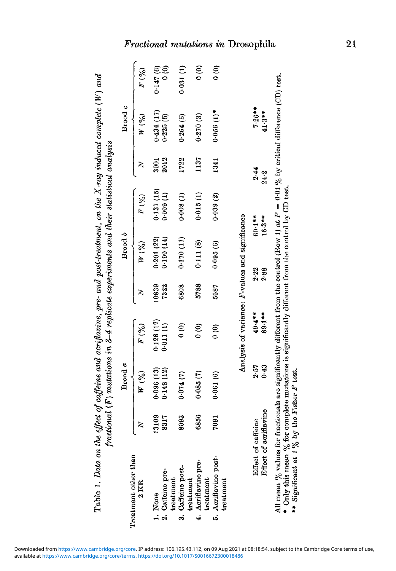| 0.128(17)<br>0.011(1)<br>$\frac{1}{2}$<br>F(%)<br>$\frac{1}{2}$<br>$\frac{6}{6}$<br>0.148(12)<br>0.096(13)<br>0.074(7)<br>0.085(7)<br>0.061(6)<br>W(0)<br>6856<br>13109<br>8317<br>8093<br>7091<br>$\mathbf{z}$<br>Treatment other than<br>5. Acriflavine post-<br>4. Acriflavine pre-<br>3. Caffeine post-<br>2. Caffeine pre-<br>treatment<br>treatment<br>reatment<br>treatment<br>$2$ KR<br>1. None | 10839<br>7322<br>6808 | $W\,(\%)$    |                      |              |                        |               |
|---------------------------------------------------------------------------------------------------------------------------------------------------------------------------------------------------------------------------------------------------------------------------------------------------------------------------------------------------------------------------------------------------------|-----------------------|--------------|----------------------|--------------|------------------------|---------------|
|                                                                                                                                                                                                                                                                                                                                                                                                         |                       |              | F(%)                 | 2            | W(%)                   | F(%)          |
|                                                                                                                                                                                                                                                                                                                                                                                                         |                       | 0.201(22)    | 0.137(15)            | 3001         | 0.434(17)              | 0.147(6)      |
|                                                                                                                                                                                                                                                                                                                                                                                                         |                       | $(14)$ 00:00 | 0.009(1)             | 3012         | 0.225(5)               | $\frac{6}{6}$ |
|                                                                                                                                                                                                                                                                                                                                                                                                         |                       | 0.170(11)    | 0.008(1)             | 1722         | 0.264(5)               | 0.031(1)      |
|                                                                                                                                                                                                                                                                                                                                                                                                         | 5788                  | 0.111(8)     | 0.015(1)             | 1137         | 0.270(3)               | $\frac{1}{2}$ |
|                                                                                                                                                                                                                                                                                                                                                                                                         | 5687                  | 0.095(6)     | 0.039(2)             | 1341         | $0.056(1)^*$           | $\frac{1}{2}$ |
| Analysis of variance: F-values and significance                                                                                                                                                                                                                                                                                                                                                         |                       |              |                      |              |                        |               |
| $49.4***$<br>89.1**<br>0.43<br>2.57<br>Effect of acriflavine<br>Effect of caffeine                                                                                                                                                                                                                                                                                                                      | 2.22<br>2.88          |              | $60.1**$<br>$16.3**$ | 2.44<br>24.2 | $7.26***$<br>$41.3***$ |               |

All mea \* Onl n  $\%$  values for fractionals are significantl y different from the control (Ro w 1) at  $P = 0.01\%$  b y critical difference (CD) test. y this mea n  $\%$  for complete mutations is significantl y different fro m the control b y CD test.

 $\cdots$  Significant at  $1\%$  by y the Fisher *F* test.

# $TTT$

21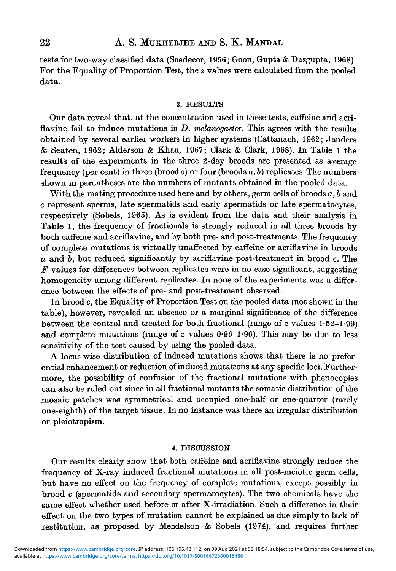tests for two-way classified data (Snedecor, 1956; Goon, Gupta & Dasgupta, 1968). For the Equality of Proportion Test, the *z* values were calculated from the pooled data.

#### 3. RESULTS

Our data reveal that, at the concentration used in these tests, caffeine and acriflavine fail to induce mutations in *D. melanogaster.* This agrees with the results obtained by several earlier workers in higher systems (Cattanach, 1962; Janders & Seaten, 1962; Alderson & Khan, 1967; Clark & Clark, 1968). In Table 1 the results of the experiments in the three 2-day broods are presented as average frequency (per cent) in three (brood c) or four (broods *a, b)* replicates. The numbers shown in parentheses are the numbers of mutants obtained in the pooled data.

With the mating procedure used here and by others, germ cells of broods *a, b* and c represent sperms, late spermatids and early spermatids or late spermatocytes, respectively (Sobels, 1965). As is evident from the data and their analysis in Table 1, the frequency of fractionals is strongly reduced in all three broods by both caffeine and acriflavine, and by both pre- and post-treatments. The frequency of complete mutations is virtually unaffected by caffeine or acriflavine in broods *a* and 6, but reduced significantly by acriflavine post-treatment in brood c. The *F* values for differences between replicates were in no case significant, suggesting homogeneity among different replicates. In none of the experiments was a difference between the effects of pre- and post-treatment observed.

In brood c, the Equality of Proportion Test on the pooled data (not shown in the table), however, revealed an absence or a marginal significance of the difference between the control and treated for both fractional (range of *z* values 1-52-1-99) and complete mutations (range of  $z$  values  $0.96-1.96$ ). This may be due to less sensitivity of the test caused by using the pooled data.

A locus-wise distribution of induced mutations shows that there is no preferential enhancement or reduction of induced mutations at any specific loci. Furthermore, the possibility of confusion of the fractional mutations with phenocopies can also be ruled out since in all fractional mutants the somatic distribution of the mosaic patches was symmetrical and occupied one-half or one-quarter (rarely one-eighth) of the target tissue. In no instance was there an irregular distribution or pleiotropism.

# 4. DISCUSSION

Our results clearly show that both caffeine and acriflavine strongly reduce the frequency of X-ray induced fractional mutations in all post-meiotic germ cells, but have no effect on the frequency of complete mutations, except possibly in  $b$ rood  $c$  (spermatids and secondary spermatocytes). The two chemicals have the same effect whether used before or after X-irradiation. Such a difference in their effect on the two types of mutation cannot be explained as due simply to lack of restitution, as proposed by Mendelson & Sobels (1974), and requires further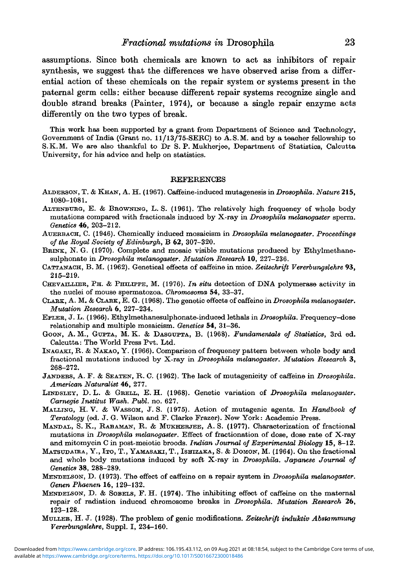assumptions. Since both chemicals are known to act as inhibitors of repair synthesis, we suggest that the differences we have observed arise from a differential action of these chemicals on the repair system or systems present in the paternal germ cells: either because different repair systems recognize single and double strand breaks (Painter, 1974), or because a single repair enzyme acts differently on the two types of break.

This work has been supported by a grant from Department of Science and Technology, Government of India (Grant no.  $11/13/75$ -SERC) to A.S.M. and by a teacher fellowship to S.K.M. We are also thankful to Dr S. P. Mukherjee, Department of Statistics, Calcutta University, for his advice and help on statistics.

### REFERENCES

- ALDERSON, T. & KHAN, A. H. (1967). Caffeine-induced mutagenesis in *Drosophila. Nature* **215,** 1080-1081.
- ALTENBURG, E. & BROWNING, L. S. (1961). The relatively high frequency of whole body mutations compared with fractionals induced by X-ray in *Drosophila melanogaster* sperm. *Genetics* 46, 203-212.
- ATJERBACH, C. (1946). Chemically induced mosaicism in *Drosophila melanogaster. Proceedings of the Royal Society of Edinburgh,* B 62, 307-320.
- BRINK, N. G. (1970). Complete and mosaic visible mutations produced by Ethylmethanesulphonate in *Drosophila melanogaster. Mutation Research* 10, 227-236.
- CATTANAOH, B. M. (1962). Genetical effects of caffeine in mice. *Zeitschrift Vererbungslehre* 93, 215-219.
- CHEVAILLIER, PH. & PHILIPPE, M. (1976). *In situ* detection of DNA polymerase activity in the nuclei of mouse spermatozoa. *Chromosoma* 54, 33-37.
- CLARK, A. M. & CLARK, E. G. (1968). The genetic effects of caffeine in *Drosophila melanogaster. Mutation Research* 6, 227-234.
- EPLER, J. L. (1966). Ethylmethanesulphonate-induced lethals in *Drosophila.* Frequency-dose relationship and multiple mosaicism. *Genetics* 54, 31-36.
- GOON, A. M., GUPTA, M. K. & DASGUPTA, B. (1968). *Fundamentals of Statistics,* 3rd ed. Calcutta: The World Press Pvt. Ltd.
- INAGAKI, R. & NAKAO, Y. (1966). Comparison of frequency pattern between whole body and fractional mutations induced by X-ray in *Drosophila melanogaster. Mutation Research* 3, 268-272.
- JANDERS, A. F. & SEATEN, R. C. (1962). The lack of mutagenicity of caffeine in *Drosophila. American Naturalist* 46, 277.
- LINDSLEY, D. L. & GRELL, E. H. (1968). Genetic variation of *Drosophila melanogaster. Carnegie Institut Wash. Publ.* no. 627.
- MALLING, H. V. & WASSOM, J. S. (1975). Action of mutagenic agents. In *Handbook of Teratology* (ed. J. G. Wilson and F. Clarke Frazer). New York: Academic Press.
- MANDAI, S. K., RAHAMAN, R. & MUKHERJEE, A. S. (1977). Characterization of fractional mutations in *Drosophila melanogaster.* Effect of fractionation of dose, dose rate of X-ray and mitomycin C in post-meiotic broods. *Indian Journal of Experimental Biology* **15,** 8-12.
- MATSUDAIRA, Y., ITO, T., YAMASAKI, T., ISHIZAKA, S. & DOMON, M. (1964). On the fractional and whole body mutations induced by soft X-ray in *Drosophila. Japanese Journal of Genetics* 38, 288-289.
- MENDELSON, D. (1973). The effect of caffeine on a repair system in *Drosophila melanogaster. Genen Phaenen* 16, 129-132.
- MENDELSON, D. & SOBELS, F. H. (1974). The inhibiting effect of caffeine on the maternal repair of radiation induced chromosome breaks in *Drosophila. Mutation Research* 26, 123-128.
- MULLER, H. J. (1928). The problem of genie modifications. *Zeitschrift induktiv Abstammung Vererbungslehre,* Suppl. I, 234-160.